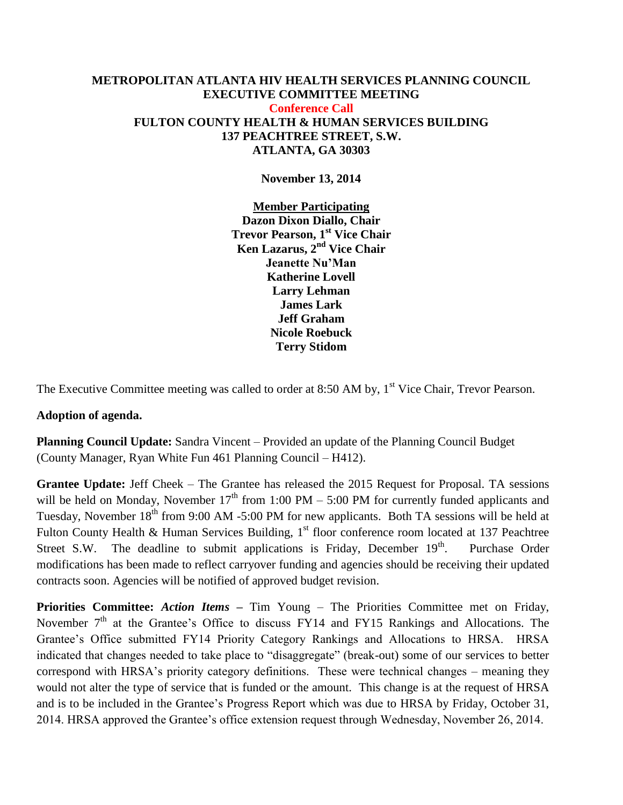#### **METROPOLITAN ATLANTA HIV HEALTH SERVICES PLANNING COUNCIL EXECUTIVE COMMITTEE MEETING Conference Call FULTON COUNTY HEALTH & HUMAN SERVICES BUILDING 137 PEACHTREE STREET, S.W. ATLANTA, GA 30303**

**November 13, 2014**

**Member Participating Dazon Dixon Diallo, Chair Trevor Pearson, 1st Vice Chair Ken Lazarus, 2nd Vice Chair Jeanette Nu'Man Katherine Lovell Larry Lehman James Lark Jeff Graham Nicole Roebuck Terry Stidom** 

The Executive Committee meeting was called to order at 8:50 AM by,  $1<sup>st</sup>$  Vice Chair, Trevor Pearson.

#### **Adoption of agenda.**

**Planning Council Update:** Sandra Vincent – Provided an update of the Planning Council Budget (County Manager, Ryan White Fun 461 Planning Council – H412).

**Grantee Update:** Jeff Cheek – The Grantee has released the 2015 Request for Proposal. TA sessions will be held on Monday, November  $17<sup>th</sup>$  from 1:00 PM – 5:00 PM for currently funded applicants and Tuesday, November 18<sup>th</sup> from 9:00 AM -5:00 PM for new applicants. Both TA sessions will be held at Fulton County Health & Human Services Building, 1<sup>st</sup> floor conference room located at 137 Peachtree Street S.W. The deadline to submit applications is Friday, December  $19<sup>th</sup>$ . Purchase Order modifications has been made to reflect carryover funding and agencies should be receiving their updated contracts soon. Agencies will be notified of approved budget revision.

**Priorities Committee:** *Action Items* **–** Tim Young – The Priorities Committee met on Friday, November  $7<sup>th</sup>$  at the Grantee's Office to discuss FY14 and FY15 Rankings and Allocations. The Grantee's Office submitted FY14 Priority Category Rankings and Allocations to HRSA. HRSA indicated that changes needed to take place to "disaggregate" (break-out) some of our services to better correspond with HRSA's priority category definitions. These were technical changes – meaning they would not alter the type of service that is funded or the amount. This change is at the request of HRSA and is to be included in the Grantee's Progress Report which was due to HRSA by Friday, October 31, 2014. HRSA approved the Grantee's office extension request through Wednesday, November 26, 2014.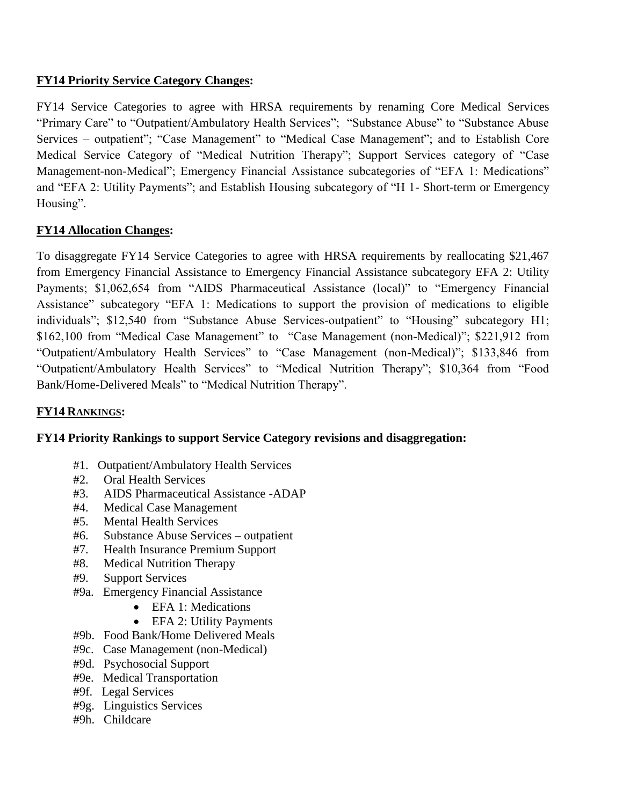### **FY14 Priority Service Category Changes:**

FY14 Service Categories to agree with HRSA requirements by renaming Core Medical Services "Primary Care" to "Outpatient/Ambulatory Health Services"; "Substance Abuse" to "Substance Abuse Services – outpatient"; "Case Management" to "Medical Case Management"; and to Establish Core Medical Service Category of "Medical Nutrition Therapy"; Support Services category of "Case Management-non-Medical"; Emergency Financial Assistance subcategories of "EFA 1: Medications" and "EFA 2: Utility Payments"; and Establish Housing subcategory of "H 1- Short-term or Emergency Housing".

# **FY14 Allocation Changes:**

To disaggregate FY14 Service Categories to agree with HRSA requirements by reallocating \$21,467 from Emergency Financial Assistance to Emergency Financial Assistance subcategory EFA 2: Utility Payments; \$1,062,654 from "AIDS Pharmaceutical Assistance (local)" to "Emergency Financial Assistance" subcategory "EFA 1: Medications to support the provision of medications to eligible individuals"; \$12,540 from "Substance Abuse Services-outpatient" to "Housing" subcategory H1; \$162,100 from "Medical Case Management" to "Case Management (non-Medical)"; \$221,912 from "Outpatient/Ambulatory Health Services" to "Case Management (non-Medical)"; \$133,846 from "Outpatient/Ambulatory Health Services" to "Medical Nutrition Therapy"; \$10,364 from "Food Bank/Home-Delivered Meals" to "Medical Nutrition Therapy".

### **FY14 RANKINGS:**

### **FY14 Priority Rankings to support Service Category revisions and disaggregation:**

- #1. Outpatient/Ambulatory Health Services
- #2. Oral Health Services
- #3. AIDS Pharmaceutical Assistance -ADAP
- #4. Medical Case Management
- #5. Mental Health Services
- #6. Substance Abuse Services outpatient
- #7. Health Insurance Premium Support
- #8. Medical Nutrition Therapy
- #9. Support Services
- #9a. Emergency Financial Assistance
	- EFA 1: Medications
	- EFA 2: Utility Payments
- #9b. Food Bank/Home Delivered Meals
- #9c. Case Management (non-Medical)
- #9d. Psychosocial Support
- #9e. Medical Transportation
- #9f. Legal Services
- #9g. Linguistics Services
- #9h. Childcare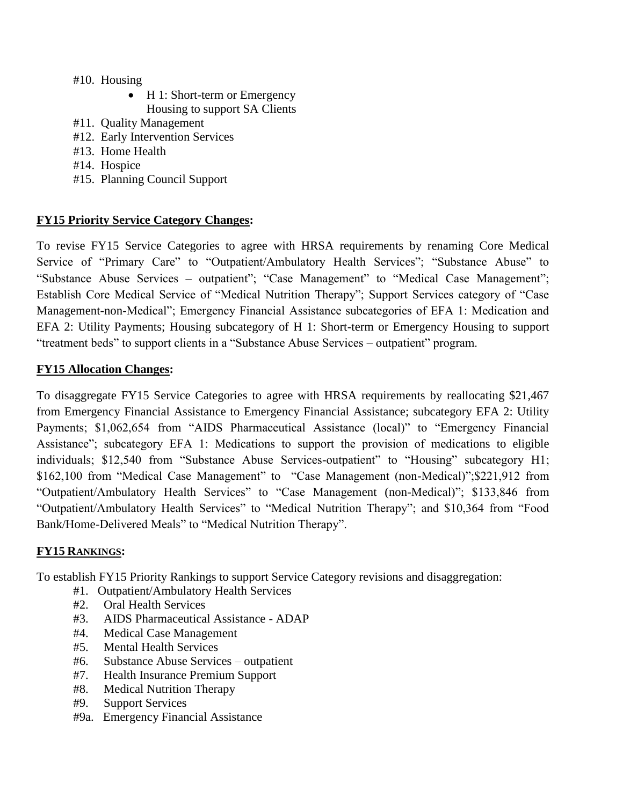#### #10. Housing

- H 1: Short-term or Emergency Housing to support SA Clients
- #11. Quality Management
- #12. Early Intervention Services
- #13. Home Health
- #14. Hospice
- #15. Planning Council Support

### **FY15 Priority Service Category Changes:**

To revise FY15 Service Categories to agree with HRSA requirements by renaming Core Medical Service of "Primary Care" to "Outpatient/Ambulatory Health Services"; "Substance Abuse" to "Substance Abuse Services – outpatient"; "Case Management" to "Medical Case Management"; Establish Core Medical Service of "Medical Nutrition Therapy"; Support Services category of "Case Management-non-Medical"; Emergency Financial Assistance subcategories of EFA 1: Medication and EFA 2: Utility Payments; Housing subcategory of H 1: Short-term or Emergency Housing to support "treatment beds" to support clients in a "Substance Abuse Services – outpatient" program.

### **FY15 Allocation Changes:**

To disaggregate FY15 Service Categories to agree with HRSA requirements by reallocating \$21,467 from Emergency Financial Assistance to Emergency Financial Assistance; subcategory EFA 2: Utility Payments; \$1,062,654 from "AIDS Pharmaceutical Assistance (local)" to "Emergency Financial Assistance"; subcategory EFA 1: Medications to support the provision of medications to eligible individuals; \$12,540 from "Substance Abuse Services-outpatient" to "Housing" subcategory H1; \$162,100 from "Medical Case Management" to "Case Management (non-Medical)";\$221,912 from "Outpatient/Ambulatory Health Services" to "Case Management (non-Medical)"; \$133,846 from "Outpatient/Ambulatory Health Services" to "Medical Nutrition Therapy"; and \$10,364 from "Food Bank/Home-Delivered Meals" to "Medical Nutrition Therapy".

### **FY15 RANKINGS:**

To establish FY15 Priority Rankings to support Service Category revisions and disaggregation:

- #1. Outpatient/Ambulatory Health Services
- #2. Oral Health Services
- #3. AIDS Pharmaceutical Assistance ADAP
- #4. Medical Case Management
- #5. Mental Health Services
- #6. Substance Abuse Services outpatient
- #7. Health Insurance Premium Support
- #8. Medical Nutrition Therapy
- #9. Support Services
- #9a. Emergency Financial Assistance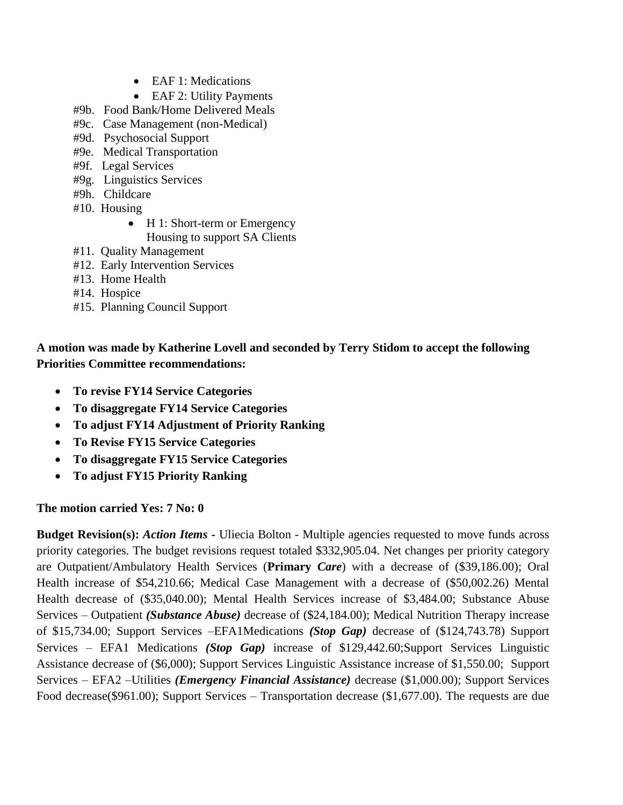- EAF 1: Medications
- EAF 2: Utility Payments
- #9b. Food Bank/Home Delivered Meals
- #9c. Case Management (non-Medical)
- #9d. Psychosocial Support
- #9e. Medical Transportation
- #9f. Legal Services
- #9g. Linguistics Services
- #9h. Childcare
- #10. Housing
	- H 1: Short-term or Emergency Housing to support SA Clients
- #11. Quality Management
- #12. Early Intervention Services
- #13. Home Health
- #14. Hospice
- #15. Planning Council Support

# **A motion was made by Katherine Lovell and seconded by Terry Stidom to accept the following Priorities Committee recommendations:**

- **To revise FY14 Service Categories**
- **To disaggregate FY14 Service Categories**
- **To adjust FY14 Adjustment of Priority Ranking**
- **To Revise FY15 Service Categories**
- **To disaggregate FY15 Service Categories**
- **To adjust FY15 Priority Ranking**

# **The motion carried Yes: 7 No: 0**

**Budget Revision(s):** *Action Items* - Uliecia Bolton - Multiple agencies requested to move funds across priority categories. The budget revisions request totaled \$332,905.04. Net changes per priority category are Outpatient/Ambulatory Health Services (**Primary** *Care*) with a decrease of (\$39,186.00); Oral Health increase of \$54,210.66; Medical Case Management with a decrease of (\$50,002.26) Mental Health decrease of (\$35,040.00); Mental Health Services increase of \$3,484.00; Substance Abuse Services – Outpatient *(Substance Abuse)* decrease of (\$24,184.00); Medical Nutrition Therapy increase of \$15,734.00; Support Services –EFA1Medications *(Stop Gap)* decrease of (\$124,743.78) Support Services – EFA1 Medications *(Stop Gap)* increase of \$129,442.60;Support Services Linguistic Assistance decrease of (\$6,000); Support Services Linguistic Assistance increase of \$1,550.00; Support Services – EFA2 –Utilities *(Emergency Financial Assistance)* decrease (\$1,000.00); Support Services Food decrease(\$961.00); Support Services – Transportation decrease (\$1,677.00). The requests are due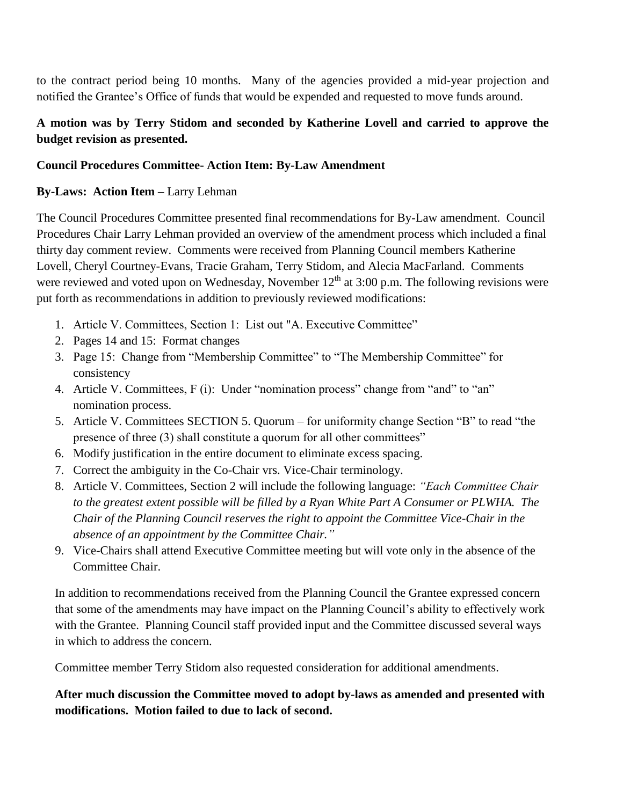to the contract period being 10 months. Many of the agencies provided a mid-year projection and notified the Grantee's Office of funds that would be expended and requested to move funds around.

# **A motion was by Terry Stidom and seconded by Katherine Lovell and carried to approve the budget revision as presented.**

### **Council Procedures Committee- Action Item: By-Law Amendment**

### **By-Laws: Action Item –** Larry Lehman

The Council Procedures Committee presented final recommendations for By-Law amendment. Council Procedures Chair Larry Lehman provided an overview of the amendment process which included a final thirty day comment review. Comments were received from Planning Council members Katherine Lovell, Cheryl Courtney-Evans, Tracie Graham, Terry Stidom, and Alecia MacFarland. Comments were reviewed and voted upon on Wednesday, November  $12<sup>th</sup>$  at 3:00 p.m. The following revisions were put forth as recommendations in addition to previously reviewed modifications:

- 1. Article V. Committees, Section 1: List out "A. Executive Committee"
- 2. Pages 14 and 15: Format changes
- 3. Page 15: Change from "Membership Committee" to "The Membership Committee" for consistency
- 4. Article V. Committees, F (i): Under "nomination process" change from "and" to "an" nomination process.
- 5. Article V. Committees SECTION 5. Quorum for uniformity change Section "B" to read "the presence of three (3) shall constitute a quorum for all other committees"
- 6. Modify justification in the entire document to eliminate excess spacing.
- 7. Correct the ambiguity in the Co-Chair vrs. Vice-Chair terminology.
- 8. Article V. Committees, Section 2 will include the following language: *"Each Committee Chair to the greatest extent possible will be filled by a Ryan White Part A Consumer or PLWHA. The Chair of the Planning Council reserves the right to appoint the Committee Vice-Chair in the absence of an appointment by the Committee Chair."*
- 9. Vice-Chairs shall attend Executive Committee meeting but will vote only in the absence of the Committee Chair.

In addition to recommendations received from the Planning Council the Grantee expressed concern that some of the amendments may have impact on the Planning Council's ability to effectively work with the Grantee. Planning Council staff provided input and the Committee discussed several ways in which to address the concern.

Committee member Terry Stidom also requested consideration for additional amendments.

# **After much discussion the Committee moved to adopt by-laws as amended and presented with modifications. Motion failed to due to lack of second.**